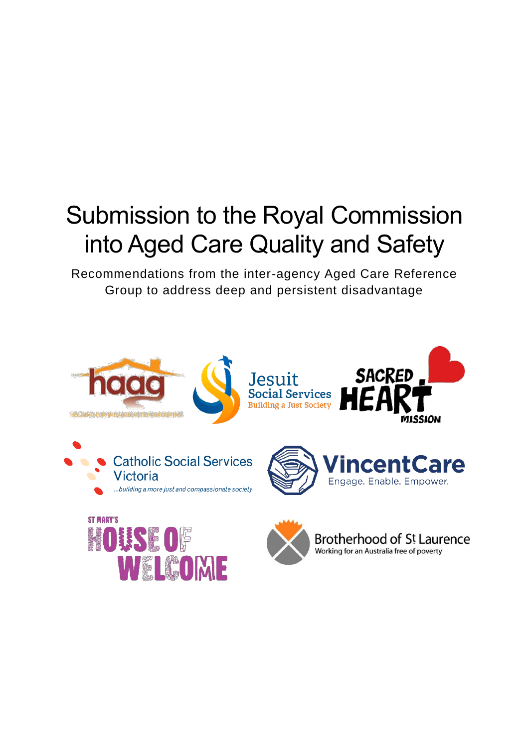# Submission to the Royal Commission into Aged Care Quality and Safety

Recommendations from the inter-agency Aged Care Reference Group to address deep and persistent disadvantage

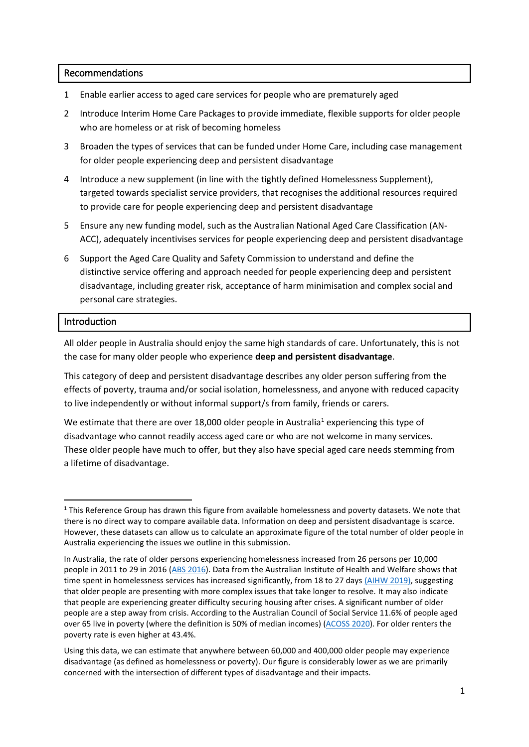## Recommendations

- 1 Enable earlier access to aged care services for people who are prematurely aged
- 2 Introduce Interim Home Care Packages to provide immediate, flexible supports for older people who are homeless or at risk of becoming homeless
- 3 Broaden the types of services that can be funded under Home Care, including case management for older people experiencing deep and persistent disadvantage
- 4 Introduce a new supplement (in line with the tightly defined Homelessness Supplement), targeted towards specialist service providers, that recognises the additional resources required to provide care for people experiencing deep and persistent disadvantage
- 5 Ensure any new funding model, such as the Australian National Aged Care Classification (AN-ACC), adequately incentivises services for people experiencing deep and persistent disadvantage
- 6 Support the Aged Care Quality and Safety Commission to understand and define the distinctive service offering and approach needed for people experiencing deep and persistent disadvantage, including greater risk, acceptance of harm minimisation and complex social and personal care strategies.

## Introduction

1

All older people in Australia should enjoy the same high standards of care. Unfortunately, this is not the case for many older people who experience **deep and persistent disadvantage**.

This category of deep and persistent disadvantage describes any older person suffering from the effects of poverty, trauma and/or social isolation, homelessness, and anyone with reduced capacity to live independently or without informal support/s from family, friends or carers.

We estimate that there are over 18,000 older people in Australia<sup>1</sup> experiencing this type of disadvantage who cannot readily access aged care or who are not welcome in many services. These older people have much to offer, but they also have special aged care needs stemming from a lifetime of disadvantage.

 $1$  This Reference Group has drawn this figure from available homelessness and poverty datasets. We note that there is no direct way to compare available data. Information on deep and persistent disadvantage is scarce. However, these datasets can allow us to calculate an approximate figure of the total number of older people in Australia experiencing the issues we outline in this submission.

In Australia, the rate of older persons experiencing homelessness increased from 26 persons per 10,000 people in 2011 to 29 in 2016 [\(ABS 2016\)](https://www.abs.gov.au/ausstats/abs@.nsf/mf/2049.0). Data from the Australian Institute of Health and Welfare shows that time spent in homelessness services has increased significantly, from 18 to 27 days [\(AIHW 2019\),](https://www.aihw.gov.au/reports/australias-welfare/homelessness-and-homelessness-services) suggesting that older people are presenting with more complex issues that take longer to resolve. It may also indicate that people are experiencing greater difficulty securing housing after crises. A significant number of older people are a step away from crisis. According to the Australian Council of Social Service 11.6% of people aged over 65 live in poverty (where the definition is 50% of median incomes) [\(ACOSS 2020\)](http://povertyandinequality.acoss.org.au/wp-content/uploads/2020/02/Poverty-in-Australia-2020_Part-1_Overview.pdf). For older renters the poverty rate is even higher at 43.4%.

Using this data, we can estimate that anywhere between 60,000 and 400,000 older people may experience disadvantage (as defined as homelessness or poverty). Our figure is considerably lower as we are primarily concerned with the intersection of different types of disadvantage and their impacts.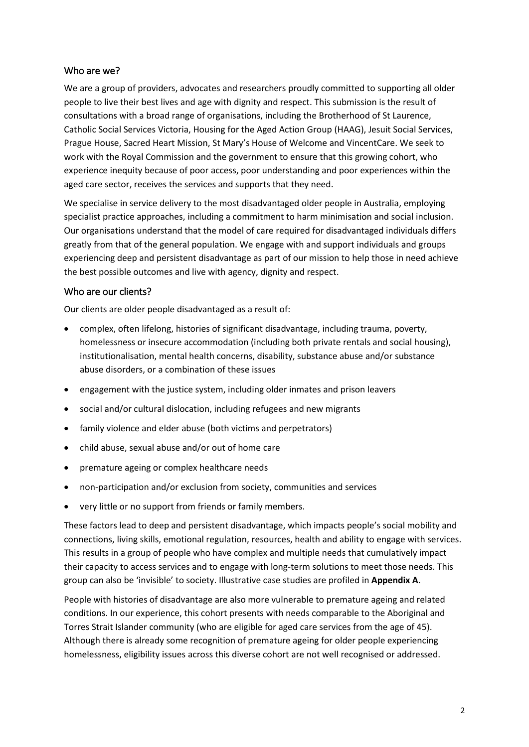# Who are we?

We are a group of providers, advocates and researchers proudly committed to supporting all older people to live their best lives and age with dignity and respect. This submission is the result of consultations with a broad range of organisations, including the Brotherhood of St Laurence, Catholic Social Services Victoria, Housing for the Aged Action Group (HAAG), Jesuit Social Services, Prague House, Sacred Heart Mission, St Mary's House of Welcome and VincentCare. We seek to work with the Royal Commission and the government to ensure that this growing cohort, who experience inequity because of poor access, poor understanding and poor experiences within the aged care sector, receives the services and supports that they need.

We specialise in service delivery to the most disadvantaged older people in Australia, employing specialist practice approaches, including a commitment to harm minimisation and social inclusion. Our organisations understand that the model of care required for disadvantaged individuals differs greatly from that of the general population. We engage with and support individuals and groups experiencing deep and persistent disadvantage as part of our mission to help those in need achieve the best possible outcomes and live with agency, dignity and respect.

# Who are our clients?

Our clients are older people disadvantaged as a result of:

- complex, often lifelong, histories of significant disadvantage, including trauma, poverty, homelessness or insecure accommodation (including both private rentals and social housing), institutionalisation, mental health concerns, disability, substance abuse and/or substance abuse disorders, or a combination of these issues
- engagement with the justice system, including older inmates and prison leavers
- social and/or cultural dislocation, including refugees and new migrants
- family violence and elder abuse (both victims and perpetrators)
- child abuse, sexual abuse and/or out of home care
- premature ageing or complex healthcare needs
- non-participation and/or exclusion from society, communities and services
- very little or no support from friends or family members.

These factors lead to deep and persistent disadvantage, which impacts people's social mobility and connections, living skills, emotional regulation, resources, health and ability to engage with services. This results in a group of people who have complex and multiple needs that cumulatively impact their capacity to access services and to engage with long-term solutions to meet those needs. This group can also be 'invisible' to society. Illustrative case studies are profiled in **Appendix A**.

People with histories of disadvantage are also more vulnerable to premature ageing and related conditions. In our experience, this cohort presents with needs comparable to the Aboriginal and Torres Strait Islander community (who are eligible for aged care services from the age of 45). Although there is already some recognition of premature ageing for older people experiencing homelessness, eligibility issues across this diverse cohort are not well recognised or addressed.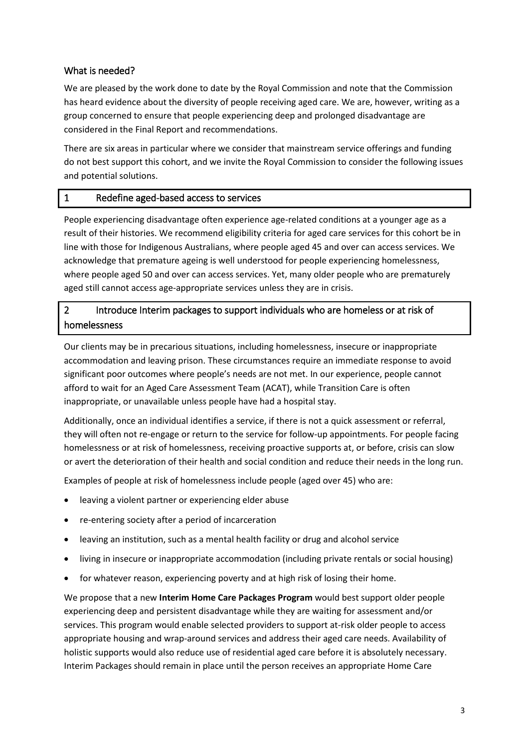# What is needed?

We are pleased by the work done to date by the Royal Commission and note that the Commission has heard evidence about the diversity of people receiving aged care. We are, however, writing as a group concerned to ensure that people experiencing deep and prolonged disadvantage are considered in the Final Report and recommendations.

There are six areas in particular where we consider that mainstream service offerings and funding do not best support this cohort, and we invite the Royal Commission to consider the following issues and potential solutions.

# 1 Redefine aged-based access to services

People experiencing disadvantage often experience age-related conditions at a younger age as a result of their histories. We recommend eligibility criteria for aged care services for this cohort be in line with those for Indigenous Australians, where people aged 45 and over can access services. We acknowledge that premature ageing is well understood for people experiencing homelessness, where people aged 50 and over can access services. Yet, many older people who are prematurely aged still cannot access age-appropriate services unless they are in crisis.

# 2 Introduce Interim packages to support individuals who are homeless or at risk of homelessness

Our clients may be in precarious situations, including homelessness, insecure or inappropriate accommodation and leaving prison. These circumstances require an immediate response to avoid significant poor outcomes where people's needs are not met. In our experience, people cannot afford to wait for an Aged Care Assessment Team (ACAT), while Transition Care is often inappropriate, or unavailable unless people have had a hospital stay.

Additionally, once an individual identifies a service, if there is not a quick assessment or referral, they will often not re-engage or return to the service for follow-up appointments. For people facing homelessness or at risk of homelessness, receiving proactive supports at, or before, crisis can slow or avert the deterioration of their health and social condition and reduce their needs in the long run.

Examples of people at risk of homelessness include people (aged over 45) who are:

- leaving a violent partner or experiencing elder abuse
- re-entering society after a period of incarceration
- leaving an institution, such as a mental health facility or drug and alcohol service
- living in insecure or inappropriate accommodation (including private rentals or social housing)
- for whatever reason, experiencing poverty and at high risk of losing their home.

We propose that a new **Interim Home Care Packages Program** would best support older people experiencing deep and persistent disadvantage while they are waiting for assessment and/or services. This program would enable selected providers to support at-risk older people to access appropriate housing and wrap-around services and address their aged care needs. Availability of holistic supports would also reduce use of residential aged care before it is absolutely necessary. Interim Packages should remain in place until the person receives an appropriate Home Care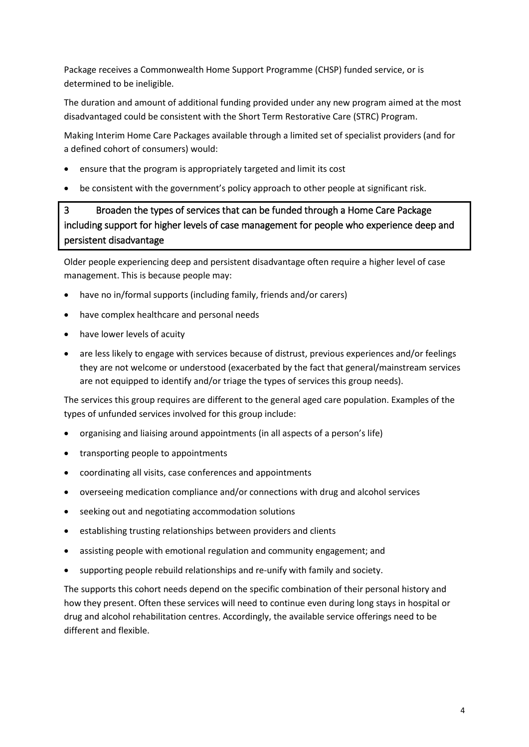Package receives a Commonwealth Home Support Programme (CHSP) funded service, or is determined to be ineligible.

The duration and amount of additional funding provided under any new program aimed at the most disadvantaged could be consistent with the Short Term Restorative Care (STRC) Program.

Making Interim Home Care Packages available through a limited set of specialist providers (and for a defined cohort of consumers) would:

- ensure that the program is appropriately targeted and limit its cost
- be consistent with the government's policy approach to other people at significant risk.

# 3 Broaden the types of services that can be funded through a Home Care Package including support for higher levels of case management for people who experience deep and persistent disadvantage

Older people experiencing deep and persistent disadvantage often require a higher level of case management. This is because people may:

- have no in/formal supports (including family, friends and/or carers)
- have complex healthcare and personal needs
- have lower levels of acuity
- are less likely to engage with services because of distrust, previous experiences and/or feelings they are not welcome or understood (exacerbated by the fact that general/mainstream services are not equipped to identify and/or triage the types of services this group needs).

The services this group requires are different to the general aged care population. Examples of the types of unfunded services involved for this group include:

- organising and liaising around appointments (in all aspects of a person's life)
- transporting people to appointments
- coordinating all visits, case conferences and appointments
- overseeing medication compliance and/or connections with drug and alcohol services
- seeking out and negotiating accommodation solutions
- establishing trusting relationships between providers and clients
- assisting people with emotional regulation and community engagement; and
- supporting people rebuild relationships and re-unify with family and society.

The supports this cohort needs depend on the specific combination of their personal history and how they present. Often these services will need to continue even during long stays in hospital or drug and alcohol rehabilitation centres. Accordingly, the available service offerings need to be different and flexible.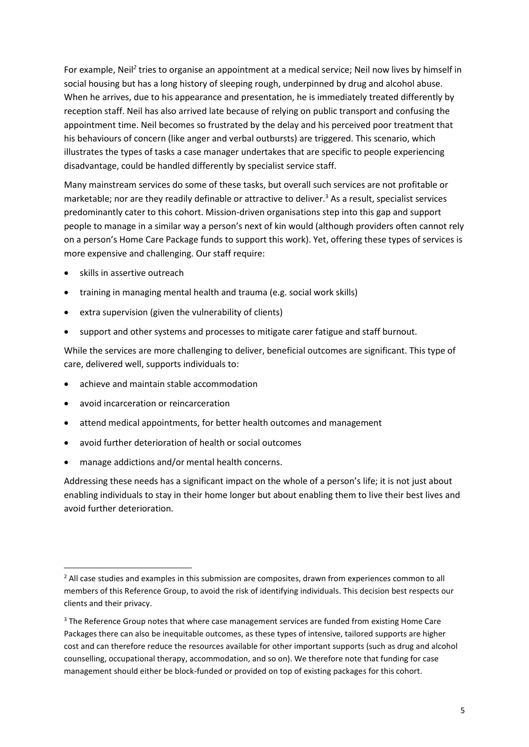For example, Neil<sup>2</sup> tries to organise an appointment at a medical service; Neil now lives by himself in social housing but has a long history of sleeping rough, underpinned by drug and alcohol abuse. When he arrives, due to his appearance and presentation, he is immediately treated differently by reception staff. Neil has also arrived late because of relying on public transport and confusing the appointment time. Neil becomes so frustrated by the delay and his perceived poor treatment that his behaviours of concern (like anger and verbal outbursts) are triggered. This scenario, which illustrates the types of tasks a case manager undertakes that are specific to people experiencing disadvantage, could be handled differently by specialist service staff.

Many mainstream services do some of these tasks, but overall such services are not profitable or marketable; nor are they readily definable or attractive to deliver.<sup>3</sup> As a result, specialist services predominantly cater to this cohort. Mission-driven organisations step into this gap and support people to manage in a similar way a person's next of kin would (although providers often cannot rely on a person's Home Care Package funds to support this work). Yet, offering these types of services is more expensive and challenging. Our staff require:

- skills in assertive outreach
- training in managing mental health and trauma (e.g. social work skills)
- extra supervision (given the vulnerability of clients)
- support and other systems and processes to mitigate carer fatigue and staff burnout.

While the services are more challenging to deliver, beneficial outcomes are significant. This type of care, delivered well, supports individuals to:

- achieve and maintain stable accommodation
- avoid incarceration or reincarceration

**.** 

- attend medical appointments, for better health outcomes and management
- avoid further deterioration of health or social outcomes
- manage addictions and/or mental health concerns.

Addressing these needs has a significant impact on the whole of a person's life; it is not just about enabling individuals to stay in their home longer but about enabling them to live their best lives and avoid further deterioration.

<sup>&</sup>lt;sup>2</sup> All case studies and examples in this submission are composites, drawn from experiences common to all members of this Reference Group, to avoid the risk of identifying individuals. This decision best respects our clients and their privacy.

<sup>&</sup>lt;sup>3</sup> The Reference Group notes that where case management services are funded from existing Home Care Packages there can also be inequitable outcomes, as these types of intensive, tailored supports are higher cost and can therefore reduce the resources available for other important supports (such as drug and alcohol counselling, occupational therapy, accommodation, and so on). We therefore note that funding for case management should either be block-funded or provided on top of existing packages for this cohort.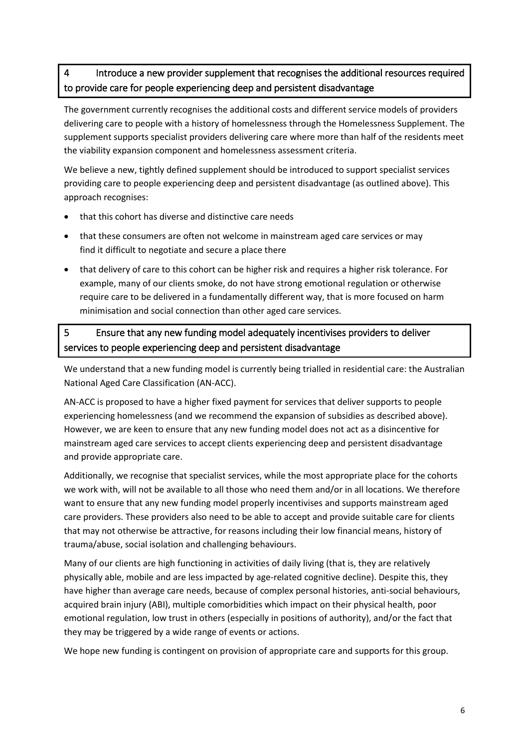# 4 Introduce a new provider supplement that recognises the additional resources required to provide care for people experiencing deep and persistent disadvantage

The government currently recognises the additional costs and different service models of providers delivering care to people with a history of homelessness through the Homelessness Supplement. The supplement supports specialist providers delivering care where more than half of the residents meet the viability expansion component and homelessness assessment criteria.

We believe a new, tightly defined supplement should be introduced to support specialist services providing care to people experiencing deep and persistent disadvantage (as outlined above). This approach recognises:

- that this cohort has diverse and distinctive care needs
- that these consumers are often not welcome in mainstream aged care services or may find it difficult to negotiate and secure a place there
- that delivery of care to this cohort can be higher risk and requires a higher risk tolerance. For example, many of our clients smoke, do not have strong emotional regulation or otherwise require care to be delivered in a fundamentally different way, that is more focused on harm minimisation and social connection than other aged care services.

# 5 Ensure that any new funding model adequately incentivises providers to deliver services to people experiencing deep and persistent disadvantage

We understand that a new funding model is currently being trialled in residential care: the Australian National Aged Care Classification (AN-ACC).

AN-ACC is proposed to have a higher fixed payment for services that deliver supports to people experiencing homelessness (and we recommend the expansion of subsidies as described above). However, we are keen to ensure that any new funding model does not act as a disincentive for mainstream aged care services to accept clients experiencing deep and persistent disadvantage and provide appropriate care.

Additionally, we recognise that specialist services, while the most appropriate place for the cohorts we work with, will not be available to all those who need them and/or in all locations. We therefore want to ensure that any new funding model properly incentivises and supports mainstream aged care providers. These providers also need to be able to accept and provide suitable care for clients that may not otherwise be attractive, for reasons including their low financial means, history of trauma/abuse, social isolation and challenging behaviours.

Many of our clients are high functioning in activities of daily living (that is, they are relatively physically able, mobile and are less impacted by age-related cognitive decline). Despite this, they have higher than average care needs, because of complex personal histories, anti-social behaviours, acquired brain injury (ABI), multiple comorbidities which impact on their physical health, poor emotional regulation, low trust in others (especially in positions of authority), and/or the fact that they may be triggered by a wide range of events or actions.

We hope new funding is contingent on provision of appropriate care and supports for this group.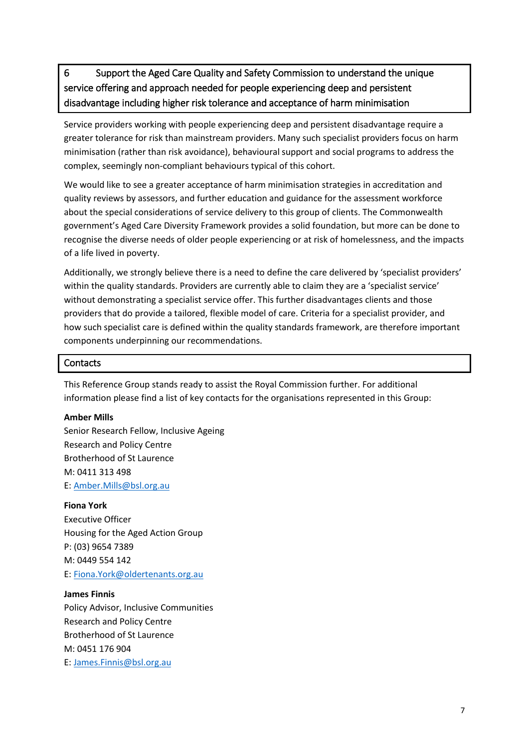6 Support the Aged Care Quality and Safety Commission to understand the unique service offering and approach needed for people experiencing deep and persistent disadvantage including higher risk tolerance and acceptance of harm minimisation

Service providers working with people experiencing deep and persistent disadvantage require a greater tolerance for risk than mainstream providers. Many such specialist providers focus on harm minimisation (rather than risk avoidance), behavioural support and social programs to address the complex, seemingly non-compliant behaviours typical of this cohort.

We would like to see a greater acceptance of harm minimisation strategies in accreditation and quality reviews by assessors, and further education and guidance for the assessment workforce about the special considerations of service delivery to this group of clients. The Commonwealth government's Aged Care Diversity Framework provides a solid foundation, but more can be done to recognise the diverse needs of older people experiencing or at risk of homelessness, and the impacts of a life lived in poverty.

Additionally, we strongly believe there is a need to define the care delivered by 'specialist providers' within the quality standards. Providers are currently able to claim they are a 'specialist service' without demonstrating a specialist service offer. This further disadvantages clients and those providers that do provide a tailored, flexible model of care. Criteria for a specialist provider, and how such specialist care is defined within the quality standards framework, are therefore important components underpinning our recommendations.

#### **Contacts**

This Reference Group stands ready to assist the Royal Commission further. For additional information please find a list of key contacts for the organisations represented in this Group:

#### **Amber Mills**

Senior Research Fellow, Inclusive Ageing Research and Policy Centre Brotherhood of St Laurence M: 0411 313 498 E: [Amber.Mills@bsl.org.au](mailto:Amber.Mills@bsl.org.au)

#### **Fiona York**

Executive Officer Housing for the Aged Action Group P: (03) 9654 7389 M: 0449 554 142 E: [Fiona.York@oldertenants.org.au](mailto:Fiona.York@oldertenants.org.au)

#### **James Finnis**

Policy Advisor, Inclusive Communities Research and Policy Centre Brotherhood of St Laurence M: 0451 176 904 E: [James.Finnis@bsl.org.au](mailto:James.Finnis@bsl.org.au)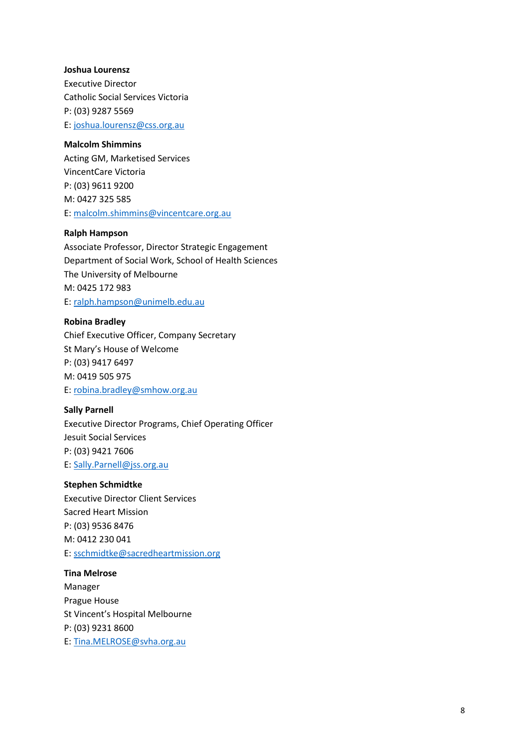#### **Joshua Lourensz**

Executive Director Catholic Social Services Victoria P: (03) 9287 5569 E: [joshua.lourensz@css.org.au](mailto:joshua.lourensz@css.org.au)

#### **Malcolm Shimmins**

Acting GM, Marketised Services VincentCare Victoria P: (03) 9611 9200 M: 0427 325 585 E: [malcolm.shimmins@vincentcare.org.au](mailto:malcolm.shimmins@vincentcare.org.au)

## **Ralph Hampson**

Associate Professor, Director Strategic Engagement Department of Social Work, School of Health Sciences The University of Melbourne M: 0425 172 983 E: [ralph.hampson@unimelb.edu.au](mailto:ralph.hampson@unimelb.edu.au) 

#### **Robina Bradley**

Chief Executive Officer, Company Secretary St Mary's House of Welcome P: (03) 9417 6497 M: 0419 505 975 E: [robina.bradley@smhow.org.au](mailto:robina.bradley@smhow.org.au)

#### **Sally Parnell**

Executive Director Programs, Chief Operating Officer Jesuit Social Services P: (03) 9421 7606 E: [Sally.Parnell@jss.org.au](mailto:Sally.Parnell@jss.org.au)

#### **Stephen Schmidtke**

Executive Director Client Services Sacred Heart Mission P: (03) 9536 8476 M: 0412 230 041 E: [sschmidtke@sacredheartmission.org](mailto:sschmidtke@sacredheartmission.org)

**Tina Melrose** Manager Prague House St Vincent's Hospital Melbourne P: (03) 9231 8600 E: [Tina.MELROSE@svha.org.au](mailto:Tina.MELROSE@svha.org.au)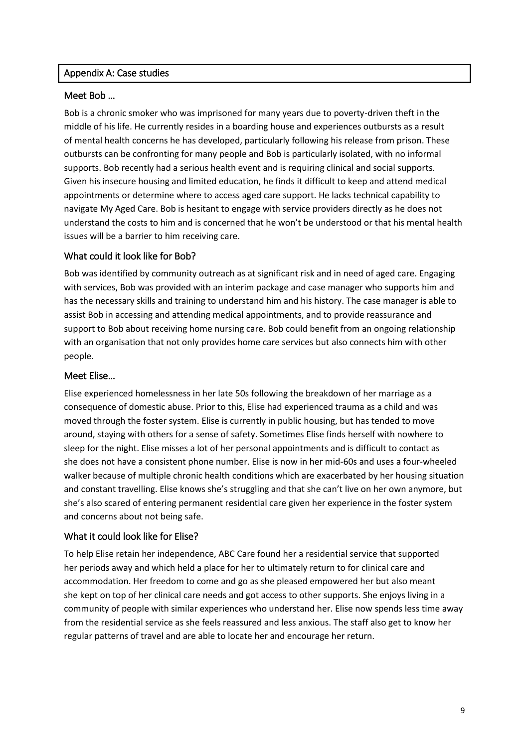## Appendix A: Case studies

## Meet Bob …

Bob is a chronic smoker who was imprisoned for many years due to poverty-driven theft in the middle of his life. He currently resides in a boarding house and experiences outbursts as a result of mental health concerns he has developed, particularly following his release from prison. These outbursts can be confronting for many people and Bob is particularly isolated, with no informal supports. Bob recently had a serious health event and is requiring clinical and social supports. Given his insecure housing and limited education, he finds it difficult to keep and attend medical appointments or determine where to access aged care support. He lacks technical capability to navigate My Aged Care. Bob is hesitant to engage with service providers directly as he does not understand the costs to him and is concerned that he won't be understood or that his mental health issues will be a barrier to him receiving care.

# What could it look like for Bob?

Bob was identified by community outreach as at significant risk and in need of aged care. Engaging with services, Bob was provided with an interim package and case manager who supports him and has the necessary skills and training to understand him and his history. The case manager is able to assist Bob in accessing and attending medical appointments, and to provide reassurance and support to Bob about receiving home nursing care. Bob could benefit from an ongoing relationship with an organisation that not only provides home care services but also connects him with other people.

## Meet Elise…

Elise experienced homelessness in her late 50s following the breakdown of her marriage as a consequence of domestic abuse. Prior to this, Elise had experienced trauma as a child and was moved through the foster system. Elise is currently in public housing, but has tended to move around, staying with others for a sense of safety. Sometimes Elise finds herself with nowhere to sleep for the night. Elise misses a lot of her personal appointments and is difficult to contact as she does not have a consistent phone number. Elise is now in her mid-60s and uses a four-wheeled walker because of multiple chronic health conditions which are exacerbated by her housing situation and constant travelling. Elise knows she's struggling and that she can't live on her own anymore, but she's also scared of entering permanent residential care given her experience in the foster system and concerns about not being safe.

## What it could look like for Elise?

To help Elise retain her independence, ABC Care found her a residential service that supported her periods away and which held a place for her to ultimately return to for clinical care and accommodation. Her freedom to come and go as she pleased empowered her but also meant she kept on top of her clinical care needs and got access to other supports. She enjoys living in a community of people with similar experiences who understand her. Elise now spends less time away from the residential service as she feels reassured and less anxious. The staff also get to know her regular patterns of travel and are able to locate her and encourage her return.